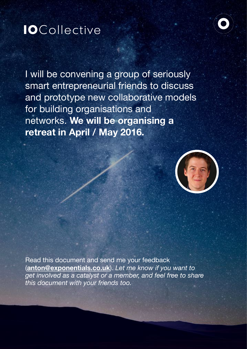# **IO**Collective



I will be convening a group of seriously smart entrepreneurial friends to discuss and prototype new collaborative models for building organisations and networks. **We will be organising a retreat in April / May 2016.**



Read this document and send me your feedback (**[anton@exponentials.co.uk](mailto:anton@exponentials.co.uk)**). *Let me know if you want to get involved as a catalyst or a member, and feel free to share this document with your friends too.*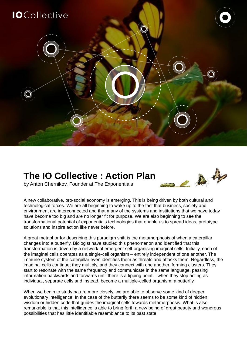

# **The IO Collective : Action Plan**



by Anton Chernikov, Founder at The Exponentials

A new collaborative, pro-social economy is emerging. This is being driven by both cultural and technological forces. We are all beginning to wake up to the fact that business, society and environment are interconnected and that many of the systems and institutions that we have today have become too big and are no longer fit for purpose. We are also beginning to see the transformational potential of exponentials technologies that enable us to spread ideas, prototype solutions and inspire action like never before.

A great metaphor for describing this paradigm shift is the metamorphosis of when a caterpillar changes into a butterfly. Biologist have studied this phenomenon and identified that this transformation is driven by a network of emergent self-organising imaginal cells. Initially, each of the imaginal cells operates as a single-cell organism – entirely independent of one another. The immune system of the caterpillar even identifies them as threats and attacks them. Regardless, the imaginal cells continue; they multiply, and they connect with one another, forming clusters. They start to resonate with the same frequency and communicate in the same language, passing information backwards and forwards until there is a tipping point – when they stop acting as individual, separate cells and instead, become a multiple-celled organism: a butterfly.

When we begin to study nature more closely, we are able to observe some kind of deeper evolutionary intelligence. In the case of the butterfly there seems to be some kind of hidden wisdom or hidden code that guides the imaginal cells towards metamorphosis. What is also remarkable is that this intelligence is able to bring forth a new being of great beauty and wondrous possibilities that has little identifiable resemblance to its past state.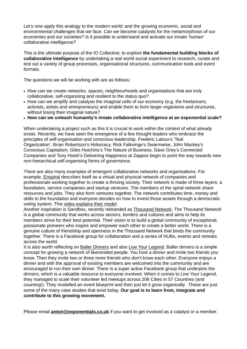Let's now apply this analogy to the modern world; and the growing economic, social and environmental challenges that we face. Can we become catalysts for the metamorphosis of our economies and our societies? Is it possible to understand and activate our innate 'human' collaborative intelligence?

This is the ultimate purpose of the IO Collective; to explore **the fundamental building blocks of collaborative intelligence** by undertaking a real world social experiment to research, curate and test out a variety of group processes, organisational structures, communication tools and event formats.

The questions we will be working with are as follows;

- How can we create networks, spaces, neighbourhoods and organisations that are truly collaborative, self-organising and resilient to the status quo?
- How can we amplify and catalyse the imaginal cells of our economy (e.g. the freelancers, activists, artists and entrepreneurs) and enable them to form larger organisms and structures, without losing their imaginal nature?
- **How can we unleash humanity's innate collaborative intelligence at an exponential scale?**

When undertaking a project such as this it is crucial to work within the context of what already exists. Recently, we have seen the emergence of a few thought leaders who embrace the principles of self-organisation and conscious leadership. Frederic Laloux's 'Teal Organization', Brian Robertson's Holocracy, Rick Falkvinge's Swarmwise, John Mackey's Conscious Capitalism, Giles Hutchins's The Nature of Business, Dave Grey's Connected Companies and Tony Hsieh's Delivering Happiness at Zappos begin to point the way towards new non-hierarchical self-organising forms of governance.

There are also many examples of emergent collaborative networks and organisations. For example, [Enspiral](http://www.enspiral.com/) describes itself as a virtual and physical network of companies and professionals working together to create a thriving society. Their network is made of three layers; a foundation, service companies and startup ventures. The members of the spiral network share resources and jobs. They also form ventures together. The network contributes time, money and skills to the foundation and everyone decides on how to invest those assets through a democratic voting system. This [video explains their mode](https://vimeo.com/125088390)l.

Another inspiration is Sandbox, recently rebranded as [Thousand Network.](http://thousandnetwork.com/) The Thousand Network is a global community that works across sectors, borders and cultures and aims to help its members strive for their best potential. Their vision is to build a global community of exceptional, passionate pioneers who inspire and empower each other to create a better world. There is a genuine culture of friendship and openness in the Thousand Network that binds the community together. There is a Facebook group for collaboration and a series of HUBs, events and retreats across the world.

It is also worth reflecting on [Baller Dinners](http://www.ballerdinner.com/) and also [Live Your Legend](http://liveyourlegend.net/). Baller dinners is a simple concept for growing a network of likeminded people. You host a dinner and invite two friends you know. Then they invite two or three more friends who don't know each other. Everyone enjoys a dinner and with the approval of existing members are welcomed into the community and are encouraged to run their own dinner. There is a super active Facebook group that underpins the dinners, which is a valuable resource to everyone involved. When it comes to Live Your Legend. they managed to scale their volunteer led meetups across 206 Cities in 57 Countries (and counting!). They modelled an event blueprint and then just let it grow organically. These are just some of the many case studies that exist today. **Our goal is to learn from, integrate and contribute to this growing movement.** 

Please email **[anton@exponentials.co.uk](mailto:anton@exponentials.co.uk)** if you want to get involved as a catalyst or a member.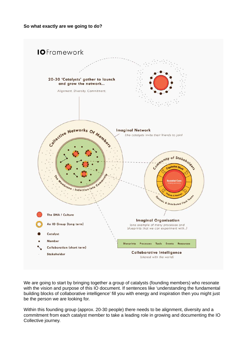

We are going to start by bringing together a group of catalysts (founding members) who resonate with the vision and purpose of this IO document. If sentences like 'understanding the fundamental building blocks of collaborative intelligence' fill you with energy and inspiration then you might just be the person we are looking for.

Within this founding group (approx. 20-30 people) there needs to be alignment, diversity and a commitment from each catalyst member to take a leading role in growing and documenting the IO Collective journey.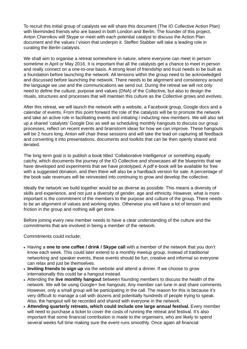To recruit this initial group of catalysts we will share this document (The IO Collective Action Plan) with likeminded friends who are based in both London and Berlin. The founder of this project, Anton Chernikov will Skype or meet with each potential catalyst to discuss the Action Plan document and the values / vision that underpin it. Steffen Stabber will take a leading role in curating the Berlin catalysts.

We shall aim to organise a retreat somewhere in nature, where everyone can meet in person sometime in April or May 2016. It is important that all the catalysts get a chance to meet in person and really connect on a one-to-one basis. A strong level of friendship and trust needs to be built as a foundation before launching the network. All tensions within the group need to be acknowledged and discussed before launching the network. There needs to be alignment and consistency around the language we use and the communications we send out. During the retreat we will not only need to define the culture, purpose and values (DNA) of the Collective, but also to design the rituals, structures and processes that will maintain this culture as the Collective grows and evolves.

After this retreat, we will launch the network with a website, a Facebook group, Google docs and a calendar of events. From this point forward the role of the catalysts will be to promote the network and take an active role in facilitating events and initiating / inducting new members. We will also set up a shared 'catalysts' Google Doc as well as scheduling monthly hangouts to discuss our group processes, reflect on recent events and brainstorm ideas for how we can improve. These hangouts will be 2 hours long. Anton will chair these sessions and will take the lead on capturing all feedback and converting it into presentations, documents and toolkits that can be then openly shared and iterated.

The long term goal is to publish a book titled 'Collaborative Intelligence' or something equally catchy, which documents the journey of the IO Collective and showcases all the blueprints that we have developed and experiments that we have prototyped. A pdf e-book will be available for free with a suggested donation, and then there will also be a hardback version for sale. A percentage of the book sale revenues will be reinvested into continuing to grow and develop the collective.

Ideally the network we build together would be as diverse as possible. This means a diversity of skills and experience, and not just a diversity of gender, age and ethnicity. However, what is more important is the commitment of the members to the purpose and culture of the group. There needs to be an alignment of values and working styles. Otherwise you will have a lot of tension and friction in the group and nothing will get done.

Before joining every new member needs to have a clear understanding of the culture and the commitments that are involved in being a member of the network.

Commitments could include;

- Having a **one to one coffee / drink / Skype call** with a member of the network that you don't know each week. This could later extend to a monthly meetup group. Instead of traditional networking and speaker events, these events should be fun, creative and informal so everyone can relax and just be themselves.
- **Inviting friends to sign up** via the website and attend a dinner. If we choose to grow internationally this could be a hangout instead.
- Attending the **live monthly hangout** between founding members to discuss the health of the network. We will be using Google+ live hangouts. Any member can tune in and share comments. However, only a small group will be participating in the call. The reason for this is because it's very difficult to manage a call with dozens and potentially hundreds of people trying to speak. Also, the hangout will be recorded and shared with everyone in the network.
- **Attending quarterly retreats, which could include one large annual festival.** Every member will need to purchase a ticket to cover the costs of running the retreat and festival. It's also important that some financial contribution is made to the organisers, who are likely to spend several weeks full time making sure the event runs smoothly. Once again all financial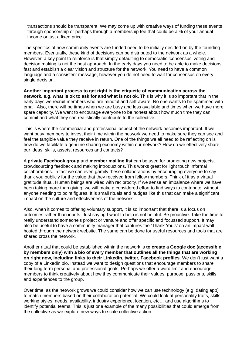transactions should be transparent. We may come up with creative ways of funding these events through sponsorship or perhaps through a membership fee that could be a % of your annual income or just a fixed price.

The specifics of how community events are funded need to be initially decided on by the founding members. Eventually, these kind of decisions can be distributed to the network as a whole. However, a key point to reinforce is that simply defaulting to democratic 'consensus' voting and decision making is not the best approach. In the early days you need to be able to make decisions fast and establish a clear vision and structure for the network. You need to have a common language and a consistent message, however you do not need to wait for consensus on every single decision.

**Another important process to get right is the etiquette of communication across the network. e.g. what is ok to ask for and what is not ok.** This is why it is so important that in the early days we recruit members who are mindful and self-aware. No one wants to be spammed with email. Also, there will be times when we are busy and less available and times when we have more spare capacity. We want to encourage everyone to be honest about how much time they can commit and what they can realistically contribute to the collective.

This is where the commercial and professional aspect of the network becomes important. If we want busy members to invest their time within the network we need to make sure they can see and feel the tangible value they receive in return. One of the things we all need to be reflecting on is how do we facilitate a genuine sharing economy within our network? How do we effectively share our ideas, skills, assets, resources and contacts?

A **private Facebook group** and **member mailing list** can be used for promoting new projects, crowdsourcing feedback and making introductions. This works great for light touch informal collaborations. In fact we can even gamify these collaborations by encouraging everyone to say thank you publicly for the value that they received from fellow members. Think of it as a virtual gratitude ritual. Human beings are wired with reciprocity. If we sense an imbalance where we have been taking more than giving, we will make a considered effort to find ways to contribute, without anyone needing to point figures. It is small rituals and nudges like this that can make a significant impact on the culture and effectiveness of the network.

Also, when it comes to offering voluntary support, it is so important that there is a focus on outcomes rather than inputs. Just saying I want to help is not helpful. Be proactive. Take the time to really understand someone's project or venture and offer specific and focussed support. It may also be useful to have a community manager that captures the 'Thank You's' on an impact wall hosted through the network website. The same can be done for useful resources and tools that are shared cross the network.

Another ritual that could be established within the network is **to create a Google doc (accessible by members only) with a bio of every member that outlines all the things that are working on right now, including links to their Linkedin, twitter, Facebook profiles**. We don't just want a copy of a Linkedin bio. Instead we want to design questions that encourage members to share their long term personal and professional goals. Perhaps we offer a word limit and encourage members to think creatively about how they communicate their values, purpose, passions, skills and experiences to the group.

Over time, as the network grows we could consider how we can use technology (e.g. dating app) to match members based on their collaboration potential. We could look at personality traits, skills, working styles, needs, availability, industry experience, location, etc… and use algorithms to identify potential teams. This is just one example of the many possibilities that could emerge from the collective as we explore new ways to scale collective action.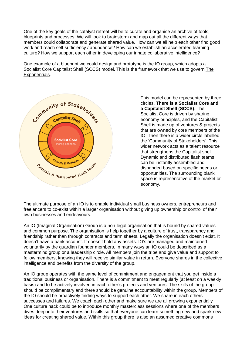One of the key goals of the catalyst retreat will be to curate and organise an archive of tools, blueprints and processes. We will look to brainstorm and map out all the different ways that members could collaborate and generate shared value. How can we all help each other find good work and reach self-sufficiency / abundance? How can we establish an accelerated learning culture? How we support each other in developing our innate collaborative intelligence?

One example of a blueprint we could design and prototype is the IO group, which adopts a Socialist Core Capitalist Shell (SCCS) model. This is the framework that we use to govern The Exponentials.



This model can be represented by three circles. **There is a Socialist Core and a Capitalist Shell (SCCS)**. The Socialist Core is driven by sharing economy principles, and the Capitalist Shell is made up of ventures & projects that are owned by core members of the IO. Then there is a wider circle labelled the 'Community of Stakeholders'. This wider network acts as a talent resource that strengthens the Capitalist shell. Dynamic and distributed flash teams can be instantly assembled and disbanded based on specific needs or opportunities. The surrounding blank space is representative of the market or economy.

The ultimate purpose of an IO is to enable individual small business owners, entrepreneurs and freelancers to co-exist within a larger organisation without giving up ownership or control of their own businesses and endeavours.

An IO (Imaginal Organisation) Group is a non-legal organisation that is bound by shared values and common purpose. The organisation is help together by a culture of trust, transparency and friendship rather than through contracts and term sheets. Legally the organisation doesn't exist. It doesn't have a bank account. It doesn't hold any assets. IO's are managed and maintained voluntarily by the guardian founder members. In many ways an IO could be described as a mastermind group or a leadership circle. All members join the tribe and give value and support to fellow members, knowing they will receive similar value in return. Everyone shares in the collective intelligence and benefits from the diversity of the group.

An IO group operates with the same level of commitment and engagement that you get inside a traditional business or organisation. There is a commitment to meet regularly (at least on a weekly basis) and to be actively involved in each other's projects and ventures. The skills of the group should be complimentary and there should be genuine accountability within the group. Members of the IO should be proactively finding ways to support each other. We share in each others successes and failures. We coach each other and make sure we are all growing exponentially. One culture hack could be to introduce monthly masterclass sessions where one of the members dives deep into their ventures and skills so that everyone can learn something new and spark new ideas for creating shared value. Within this group there is also an assumed creative commons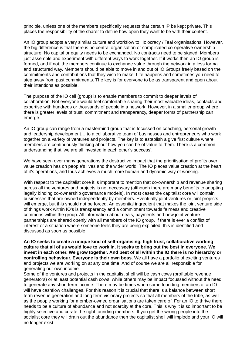principle, unless one of the members specifically requests that certain IP be kept private. This places the responsibility of the sharer to define how open they want to be with their content.

An IO group adopts a very similar culture and workflow to Holocracy / Teal organisations. However, the big difference is that there is no central organisation or complicated co-operative ownership structure. No capital or equity needs to be exchanged. No contracts need to be signed. Members just assemble and experiment with different ways to work together. If it works then an IO group is formed, and if not, the members continue to exchange value through the network in a less formal and structured way. Members should be able to move in and out of IO Groups freely based on the commitments and contributions that they wish to make. Life happens and sometimes you need to step away from past commitments. The key is for everyone to be as transparent and open about their intentions as possible.

The purpose of the IO cell (group) is to enable members to commit to deeper levels of collaboration. Not everyone would feel comfortable sharing their most valuable ideas, contacts and expertise with hundreds or thousands of people in a network. However, in a smaller group where there is greater levels of trust, commitment and transparency, deeper forms of partnership can emerge.

An IO group can range from a mastermind group that is focussed on coaching, personal growth and leadership development… to a collaborative team of businesses and entrepreneurs who work together on a variety of ventures and projects. The key is to establish a give first culture where members are continuously thinking about how you can be of value to them. There is a common understanding that 'we are all invested in each other's success'.

We have seen over many generations the destructive impact that the prioritisation of profits over value creation has on people's lives and the wider world. The IO places value creation at the heart of it's operations, and thus achieves a much more human and dynamic way of working.

With respect to the capitalist core it is important to mention that co-ownership and revenue sharing across all the ventures and projects is not necessary (although there are many benefits to adopting legally binding co-ownership governance models). In most cases the capitalist core will contain businesses that are owned independently by members. Eventually joint ventures or joint projects will emerge, but this should not be forced. An essential ingredient that makes the joint venture side of things work within IO's is transparency and a commitment towards fairness and creative commons within the group. All information about deals, payments and new joint venture partnerships are shared openly with all members of the IO group. If there is ever a conflict of interest or a situation where someone feels they are being exploited, this is identified and discussed as soon as possible.

**An IO seeks to create a unique kind of self-organising, high trust, collaborative working culture that all of us would love to work in. It seeks to bring out the best in everyone. We invest in each other. We grow together. And best of all within the IO there is no hierarchy or controlling behaviour. Everyone is their own boss.** We all have a portfolio of exciting ventures and projects we are working on at any one time. And of course we are all responsible for generating our own income.

Some of the ventures and projects in the capitalist shell will be cash cows (profitable revenue generators) or at least potential cash cows, while others may be impact focussed without the need to generate any short term income. There may be times when some founding members of an IO will have cashflow challenges. For this reason it is crucial that there is a balance between short term revenue generation and long term visionary projects so that all members of the tribe, as well as the people working for member-owned organisations are taken care of. For an IO to thrive there needs to be a culture of abundance and not scarcity at the core. This is why it is so important to be highly selective and curate the right founding members. If you get the wrong people into the socialist core they will drain out the abundance then the capitalist shell will implode and your IO will no longer exist.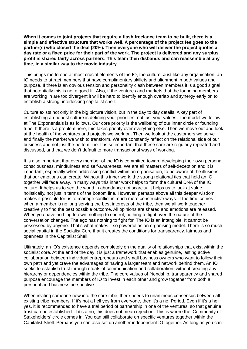**When it comes to joint projects that require a flash freelance team to be built, there is a simple and effective structure that works well. A percentage of the project fee goes to the partner(s) who closed the deal (20%). Then everyone who will deliver the project quotes a day rate or a fixed price for their part of the work. The project is delivered and any surplus profit is shared fairly across partners. This team then disbands and can reassemble at any time, in a similar way to the movie industry.**

This brings me to one of most crucial elements of the IO, the culture. Just like any organisation, an IO needs to attract members that have complimentary skillets and alignment in both values and purpose. If there is an obvious tension and personality clash between members it is a good signal that potentially this is not a good fit. Also, if the ventures and markets that the founding members are working in are too divergent it will be hard to identify enough overlap and synergy early on to establish a strong, interlocking capitalist shell.

Culture exists not only in the big picture vision, but in the day to day details. A key part of establishing an honest culture is defining your priorities, not just your values. The model we follow at The Exponentials is as follows. Our core priority is the wellbeing of our inner circle or founding tribe. If there is a problem here, this takes priority over everything else. Then we move out and look at the health of the ventures and projects we work on. Then we look at the customers we serve and finally the market we wish to transform. We are constantly reflect on the relational side of our business and not just the bottom line. It is so important that these core are regularly repeated and discussed, and that we don't default to more transactional ways of working.

It is also important that every member of the IO is committed toward developing their own personal consciousness, mindfulness and self-awareness. We are all masters of self-deception and it is important, especially when addressing conflict within an organisation, to be aware of the illusions that our emotions can create. Without this inner work, the strong relational ties that hold an IO together will fade away. In many ways this inner work helps to form the cultural DNA of the IO culture. It helps us to see the world in abundance not scarcity. It helps us to look at value holistically, not just in terms of the bottom line. However, perhaps above all this deeper wisdom makes it possible for us to manage conflict in much more constructive ways. If the time comes when a member is no long serving the best interests of the tribe, then we all work together creatively to find the best possible outcome. All opinions are shared and emotions are released. When you have nothing to own, nothing to control, nothing to fight over, the nature of the conversation changes. The ego has nothing to fight for. The IO is an intangible. It cannot be possessed by anyone. That's what makes it so powerful as an organising model. There is so much social capital in the Socialist Core that it creates the conditions for transparency, fairness and openness in the Capitalist Shell.

Ultimately, an IO's existence depends completely on the quality of relationships that exist within the socialist core. At the end of the day it is just a framework that enables genuine, lasting active collaboration between individual entrepreneurs and small business owners who want to follow their own path and yet crave the advantages of having a larger team and network behind them. An IO seeks to establish trust through rituals of communication and collaboration, without creating any hierarchy or dependencies within the tribe. The core values of friendship, transparency and shared purpose encourage the members of IO to invest in each other and grow together from both a personal and business perspective.

When inviting someone new into the core tribe, there needs to unanimous consensus between all existing tribe members. If it's not a hell yes from everyone, then it's a no. Period. Even if it's a hell yes, it is recommended to have a trial period of partnership in one of the ventures, so that genuine trust can be established. If it's a no, this does not mean rejection. This is where the 'Community of Stakeholders' circle comes in. You can still collaborate on specific ventures together within the Capitalist Shell. Perhaps you can also set up another independent IO together. As long as you can